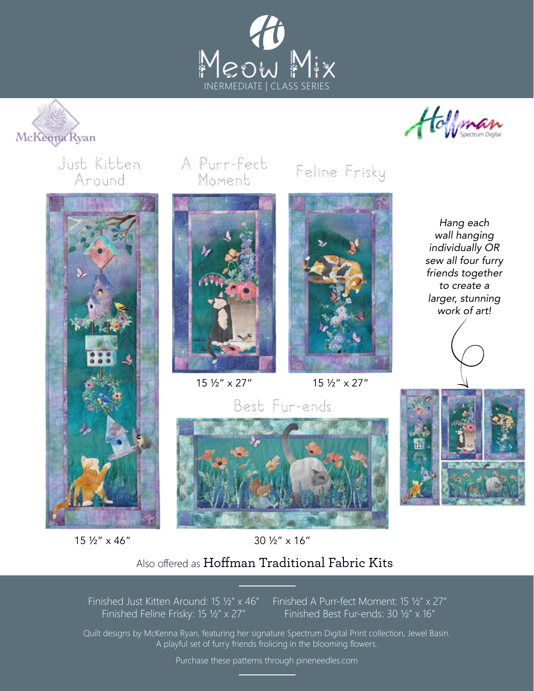





## Just Kitten A Purr-fect Feline Frisky Around



## 15 ½" x 46"

# Moment





15 ½" x 27" 15 ½" x 27"

*Hang each wall hanging individually OR sew all four furry friends together to create a larger, stunning work of art!*







## 30 ½" x 16"

## Also offered as Hoffman Traditional Fabric Kits

Finished Just Kitten Around: 15 ½" x 46" Finished Feline Frisky: 15 ½" x 27"

Finished A Purr-fect Moment: 15 ½" x 27" Finished Best Fur-ends: 30 ½" x 16"

Quilt designs by McKenna Ryan, featuring her signature Spectrum Digital Print collection, Jewel Basin. A playful set of furry friends frolicing in the blooming flowers.

Purchase these patterns through pineneedles.com